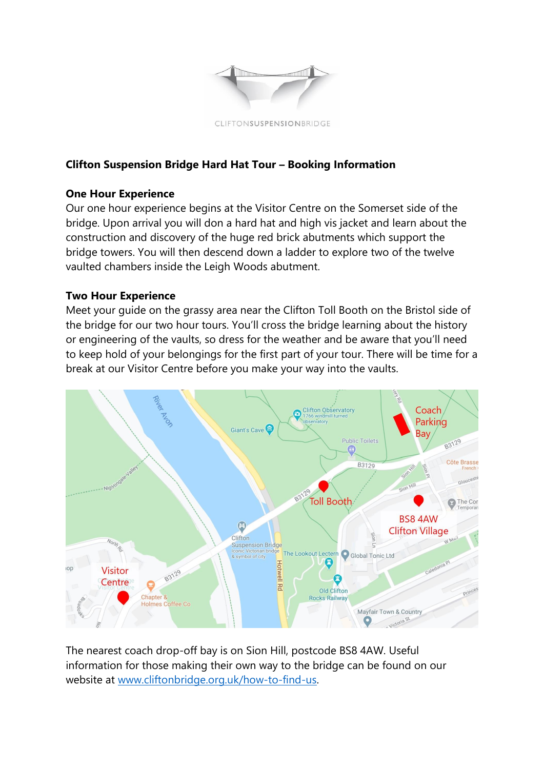

# **Clifton Suspension Bridge Hard Hat Tour – Booking Information**

## **One Hour Experience**

Our one hour experience begins at the Visitor Centre on the Somerset side of the bridge. Upon arrival you will don a hard hat and high vis jacket and learn about the construction and discovery of the huge red brick abutments which support the bridge towers. You will then descend down a ladder to explore two of the twelve vaulted chambers inside the Leigh Woods abutment.

## **Two Hour Experience**

Meet your guide on the grassy area near the Clifton Toll Booth on the Bristol side of the bridge for our two hour tours. You'll cross the bridge learning about the history or engineering of the vaults, so dress for the weather and be aware that you'll need to keep hold of your belongings for the first part of your tour. There will be time for a break at our Visitor Centre before you make your way into the vaults.



The nearest coach drop-off bay is on Sion Hill, postcode BS8 4AW. Useful information for those making their own way to the bridge can be found on our website at [www.cliftonbridge.org.uk/how-to-find-us.](http://www.cliftonbridge.org.uk/how-to-find-us)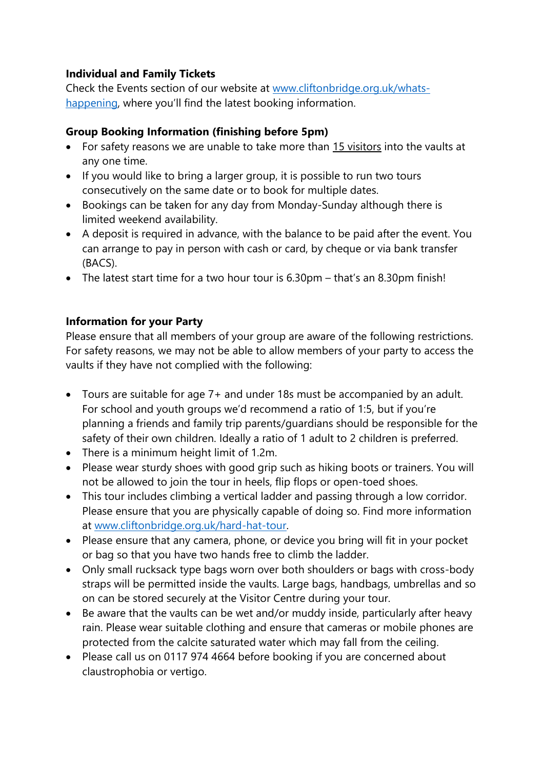# **Individual and Family Tickets**

Check the Events section of our website at [www.cliftonbridge.org.uk/whats](http://www.cliftonbridge.org.uk/whats-happening)[happening](http://www.cliftonbridge.org.uk/whats-happening), where you'll find the latest booking information.

## **Group Booking Information (finishing before 5pm)**

- For safety reasons we are unable to take more than 15 visitors into the vaults at any one time.
- If you would like to bring a larger group, it is possible to run two tours consecutively on the same date or to book for multiple dates.
- Bookings can be taken for any day from Monday-Sunday although there is limited weekend availability.
- A deposit is required in advance, with the balance to be paid after the event. You can arrange to pay in person with cash or card, by cheque or via bank transfer (BACS).
- The latest start time for a two hour tour is 6.30pm that's an 8.30pm finish!

## **Information for your Party**

Please ensure that all members of your group are aware of the following restrictions. For safety reasons, we may not be able to allow members of your party to access the vaults if they have not complied with the following:

- Tours are suitable for age 7+ and under 18s must be accompanied by an adult. For school and youth groups we'd recommend a ratio of 1:5, but if you're planning a friends and family trip parents/guardians should be responsible for the safety of their own children. Ideally a ratio of 1 adult to 2 children is preferred.
- There is a minimum height limit of 1.2m.
- Please wear sturdy shoes with good grip such as hiking boots or trainers. You will not be allowed to join the tour in heels, flip flops or open-toed shoes.
- This tour includes climbing a vertical ladder and passing through a low corridor. Please ensure that you are physically capable of doing so. Find more information at [www.cliftonbridge.org.uk/hard-hat-tour.](http://www.cliftonbridge.org.uk/hard-hat-tour)
- Please ensure that any camera, phone, or device you bring will fit in your pocket or bag so that you have two hands free to climb the ladder.
- Only small rucksack type bags worn over both shoulders or bags with cross-body straps will be permitted inside the vaults. Large bags, handbags, umbrellas and so on can be stored securely at the Visitor Centre during your tour.
- Be aware that the vaults can be wet and/or muddy inside, particularly after heavy rain. Please wear suitable clothing and ensure that cameras or mobile phones are protected from the calcite saturated water which may fall from the ceiling.
- Please call us on 0117 974 4664 before booking if you are concerned about claustrophobia or vertigo.